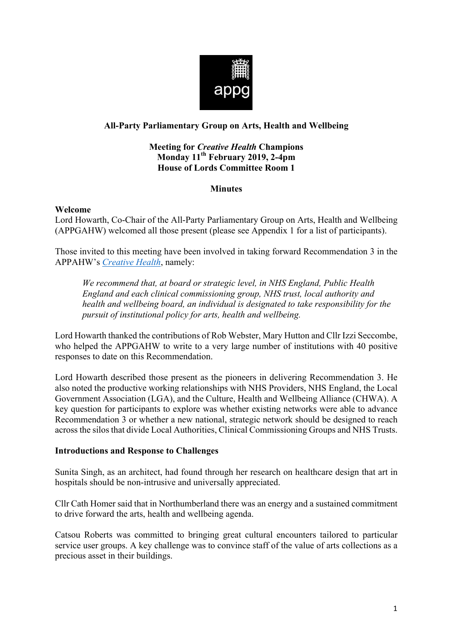

# **All-Party Parliamentary Group on Arts, Health and Wellbeing**

#### **Meeting for** *Creative Health* **Champions Monday 11th February 2019, 2-4pm House of Lords Committee Room 1**

### **Minutes**

#### **Welcome**

Lord Howarth, Co-Chair of the All-Party Parliamentary Group on Arts, Health and Wellbeing (APPGAHW) welcomed all those present (please see Appendix 1 for a list of participants).

Those invited to this meeting have been involved in taking forward Recommendation 3 in the APPAHW's *Creative Health*, namely:

*We recommend that, at board or strategic level, in NHS England, Public Health England and each clinical commissioning group, NHS trust, local authority and health and wellbeing board, an individual is designated to take responsibility for the pursuit of institutional policy for arts, health and wellbeing.*

Lord Howarth thanked the contributions of Rob Webster, Mary Hutton and Cllr Izzi Seccombe, who helped the APPGAHW to write to a very large number of institutions with 40 positive responses to date on this Recommendation.

Lord Howarth described those present as the pioneers in delivering Recommendation 3. He also noted the productive working relationships with NHS Providers, NHS England, the Local Government Association (LGA), and the Culture, Health and Wellbeing Alliance (CHWA). A key question for participants to explore was whether existing networks were able to advance Recommendation 3 or whether a new national, strategic network should be designed to reach across the silos that divide Local Authorities, Clinical Commissioning Groups and NHS Trusts.

#### **Introductions and Response to Challenges**

Sunita Singh, as an architect, had found through her research on healthcare design that art in hospitals should be non-intrusive and universally appreciated.

Cllr Cath Homer said that in Northumberland there was an energy and a sustained commitment to drive forward the arts, health and wellbeing agenda.

Catsou Roberts was committed to bringing great cultural encounters tailored to particular service user groups. A key challenge was to convince staff of the value of arts collections as a precious asset in their buildings.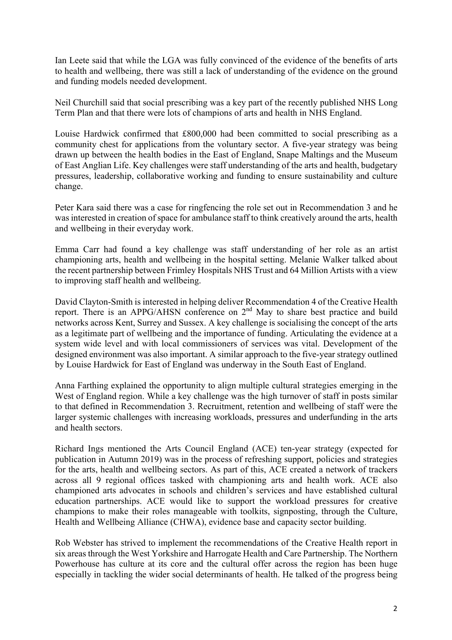Ian Leete said that while the LGA was fully convinced of the evidence of the benefits of arts to health and wellbeing, there was still a lack of understanding of the evidence on the ground and funding models needed development.

Neil Churchill said that social prescribing was a key part of the recently published NHS Long Term Plan and that there were lots of champions of arts and health in NHS England.

Louise Hardwick confirmed that £800,000 had been committed to social prescribing as a community chest for applications from the voluntary sector. A five-year strategy was being drawn up between the health bodies in the East of England, Snape Maltings and the Museum of East Anglian Life. Key challenges were staff understanding of the arts and health, budgetary pressures, leadership, collaborative working and funding to ensure sustainability and culture change.

Peter Kara said there was a case for ringfencing the role set out in Recommendation 3 and he was interested in creation of space for ambulance staff to think creatively around the arts, health and wellbeing in their everyday work.

Emma Carr had found a key challenge was staff understanding of her role as an artist championing arts, health and wellbeing in the hospital setting. Melanie Walker talked about the recent partnership between Frimley Hospitals NHS Trust and 64 Million Artists with a view to improving staff health and wellbeing.

David Clayton-Smith is interested in helping deliver Recommendation 4 of the Creative Health report. There is an APPG/AHSN conference on 2<sup>nd</sup> May to share best practice and build networks across Kent, Surrey and Sussex. A key challenge is socialising the concept of the arts as a legitimate part of wellbeing and the importance of funding. Articulating the evidence at a system wide level and with local commissioners of services was vital. Development of the designed environment was also important. A similar approach to the five-year strategy outlined by Louise Hardwick for East of England was underway in the South East of England.

Anna Farthing explained the opportunity to align multiple cultural strategies emerging in the West of England region. While a key challenge was the high turnover of staff in posts similar to that defined in Recommendation 3. Recruitment, retention and wellbeing of staff were the larger systemic challenges with increasing workloads, pressures and underfunding in the arts and health sectors.

Richard Ings mentioned the Arts Council England (ACE) ten-year strategy (expected for publication in Autumn 2019) was in the process of refreshing support, policies and strategies for the arts, health and wellbeing sectors. As part of this, ACE created a network of trackers across all 9 regional offices tasked with championing arts and health work. ACE also championed arts advocates in schools and children's services and have established cultural education partnerships. ACE would like to support the workload pressures for creative champions to make their roles manageable with toolkits, signposting, through the Culture, Health and Wellbeing Alliance (CHWA), evidence base and capacity sector building.

Rob Webster has strived to implement the recommendations of the Creative Health report in six areas through the West Yorkshire and Harrogate Health and Care Partnership. The Northern Powerhouse has culture at its core and the cultural offer across the region has been huge especially in tackling the wider social determinants of health. He talked of the progress being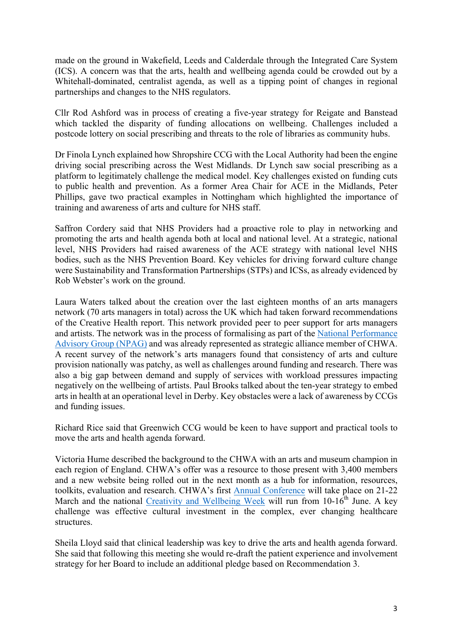made on the ground in Wakefield, Leeds and Calderdale through the Integrated Care System (ICS). A concern was that the arts, health and wellbeing agenda could be crowded out by a Whitehall-dominated, centralist agenda, as well as a tipping point of changes in regional partnerships and changes to the NHS regulators.

Cllr Rod Ashford was in process of creating a five-year strategy for Reigate and Banstead which tackled the disparity of funding allocations on wellbeing. Challenges included a postcode lottery on social prescribing and threats to the role of libraries as community hubs.

Dr Finola Lynch explained how Shropshire CCG with the Local Authority had been the engine driving social prescribing across the West Midlands. Dr Lynch saw social prescribing as a platform to legitimately challenge the medical model. Key challenges existed on funding cuts to public health and prevention. As a former Area Chair for ACE in the Midlands, Peter Phillips, gave two practical examples in Nottingham which highlighted the importance of training and awareness of arts and culture for NHS staff.

Saffron Cordery said that NHS Providers had a proactive role to play in networking and promoting the arts and health agenda both at local and national level. At a strategic, national level, NHS Providers had raised awareness of the ACE strategy with national level NHS bodies, such as the NHS Prevention Board. Key vehicles for driving forward culture change were Sustainability and Transformation Partnerships (STPs) and ICSs, as already evidenced by Rob Webster's work on the ground.

Laura Waters talked about the creation over the last eighteen months of an arts managers network (70 arts managers in total) across the UK which had taken forward recommendations of the Creative Health report. This network provided peer to peer support for arts managers and artists. The network was in the process of formalising as part of the National Performance Advisory Group (NPAG) and was already represented as strategic alliance member of CHWA. A recent survey of the network's arts managers found that consistency of arts and culture provision nationally was patchy, as well as challenges around funding and research. There was also a big gap between demand and supply of services with workload pressures impacting negatively on the wellbeing of artists. Paul Brooks talked about the ten-year strategy to embed arts in health at an operational level in Derby. Key obstacles were a lack of awareness by CCGs and funding issues.

Richard Rice said that Greenwich CCG would be keen to have support and practical tools to move the arts and health agenda forward.

Victoria Hume described the background to the CHWA with an arts and museum champion in each region of England. CHWA's offer was a resource to those present with 3,400 members and a new website being rolled out in the next month as a hub for information, resources, toolkits, evaluation and research. CHWA's first Annual Conference will take place on 21-22 March and the national Creativity and Wellbeing Week will run from  $10\text{-}16^{\text{th}}$  June. A key challenge was effective cultural investment in the complex, ever changing healthcare structures.

Sheila Lloyd said that clinical leadership was key to drive the arts and health agenda forward. She said that following this meeting she would re-draft the patient experience and involvement strategy for her Board to include an additional pledge based on Recommendation 3.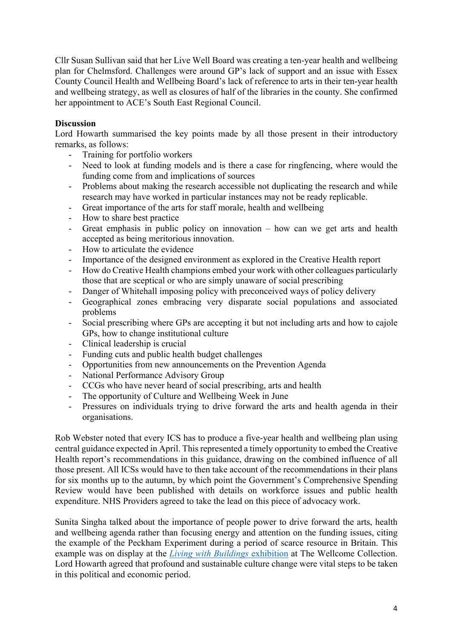Cllr Susan Sullivan said that her Live Well Board was creating a ten-year health and wellbeing plan for Chelmsford. Challenges were around GP's lack of support and an issue with Essex County Council Health and Wellbeing Board's lack of reference to arts in their ten-year health and wellbeing strategy, as well as closures of half of the libraries in the county. She confirmed her appointment to ACE's South East Regional Council.

#### **Discussion**

Lord Howarth summarised the key points made by all those present in their introductory remarks, as follows:

- Training for portfolio workers
- Need to look at funding models and is there a case for ringfencing, where would the funding come from and implications of sources
- Problems about making the research accessible not duplicating the research and while research may have worked in particular instances may not be ready replicable.
- Great importance of the arts for staff morale, health and wellbeing
- How to share best practice
- Great emphasis in public policy on innovation how can we get arts and health accepted as being meritorious innovation.
- How to articulate the evidence
- Importance of the designed environment as explored in the Creative Health report
- How do Creative Health champions embed your work with other colleagues particularly those that are sceptical or who are simply unaware of social prescribing
- Danger of Whitehall imposing policy with preconceived ways of policy delivery
- Geographical zones embracing very disparate social populations and associated problems
- Social prescribing where GPs are accepting it but not including arts and how to cajole GPs, how to change institutional culture
- Clinical leadership is crucial
- Funding cuts and public health budget challenges
- Opportunities from new announcements on the Prevention Agenda
- National Performance Advisory Group
- CCGs who have never heard of social prescribing, arts and health
- The opportunity of Culture and Wellbeing Week in June
- Pressures on individuals trying to drive forward the arts and health agenda in their organisations.

Rob Webster noted that every ICS has to produce a five-year health and wellbeing plan using central guidance expected in April. This represented a timely opportunity to embed the Creative Health report's recommendations in this guidance, drawing on the combined influence of all those present. All ICSs would have to then take account of the recommendations in their plans for six months up to the autumn, by which point the Government's Comprehensive Spending Review would have been published with details on workforce issues and public health expenditure. NHS Providers agreed to take the lead on this piece of advocacy work.

Sunita Singha talked about the importance of people power to drive forward the arts, health and wellbeing agenda rather than focusing energy and attention on the funding issues, citing the example of the Peckham Experiment during a period of scarce resource in Britain. This example was on display at the *Living with Buildings* exhibition at The Wellcome Collection. Lord Howarth agreed that profound and sustainable culture change were vital steps to be taken in this political and economic period.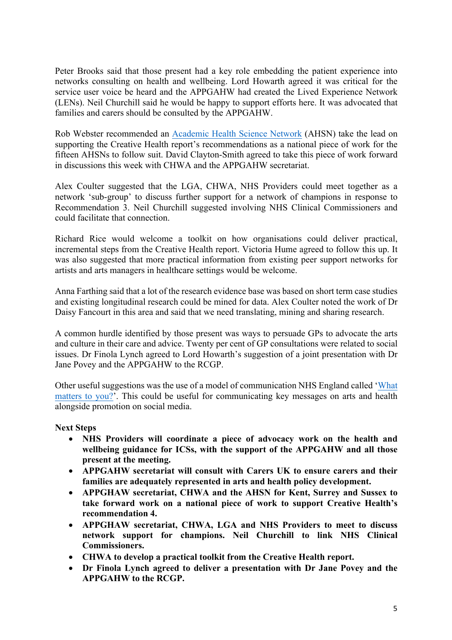Peter Brooks said that those present had a key role embedding the patient experience into networks consulting on health and wellbeing. Lord Howarth agreed it was critical for the service user voice be heard and the APPGAHW had created the Lived Experience Network (LENs). Neil Churchill said he would be happy to support efforts here. It was advocated that families and carers should be consulted by the APPGAHW.

Rob Webster recommended an Academic Health Science Network (AHSN) take the lead on supporting the Creative Health report's recommendations as a national piece of work for the fifteen AHSNs to follow suit. David Clayton-Smith agreed to take this piece of work forward in discussions this week with CHWA and the APPGAHW secretariat.

Alex Coulter suggested that the LGA, CHWA, NHS Providers could meet together as a network 'sub-group' to discuss further support for a network of champions in response to Recommendation 3. Neil Churchill suggested involving NHS Clinical Commissioners and could facilitate that connection.

Richard Rice would welcome a toolkit on how organisations could deliver practical, incremental steps from the Creative Health report. Victoria Hume agreed to follow this up. It was also suggested that more practical information from existing peer support networks for artists and arts managers in healthcare settings would be welcome.

Anna Farthing said that a lot of the research evidence base was based on short term case studies and existing longitudinal research could be mined for data. Alex Coulter noted the work of Dr Daisy Fancourt in this area and said that we need translating, mining and sharing research.

A common hurdle identified by those present was ways to persuade GPs to advocate the arts and culture in their care and advice. Twenty per cent of GP consultations were related to social issues. Dr Finola Lynch agreed to Lord Howarth's suggestion of a joint presentation with Dr Jane Povey and the APPGAHW to the RCGP.

Other useful suggestions was the use of a model of communication NHS England called 'What matters to you?'. This could be useful for communicating key messages on arts and health alongside promotion on social media.

#### **Next Steps**

- **NHS Providers will coordinate a piece of advocacy work on the health and wellbeing guidance for ICSs, with the support of the APPGAHW and all those present at the meeting.**
- **APPGAHW secretariat will consult with Carers UK to ensure carers and their families are adequately represented in arts and health policy development.**
- **APPGHAW secretariat, CHWA and the AHSN for Kent, Surrey and Sussex to take forward work on a national piece of work to support Creative Health's recommendation 4.**
- **APPGHAW secretariat, CHWA, LGA and NHS Providers to meet to discuss network support for champions. Neil Churchill to link NHS Clinical Commissioners.**
- **CHWA to develop a practical toolkit from the Creative Health report.**
- **Dr Finola Lynch agreed to deliver a presentation with Dr Jane Povey and the APPGAHW to the RCGP.**